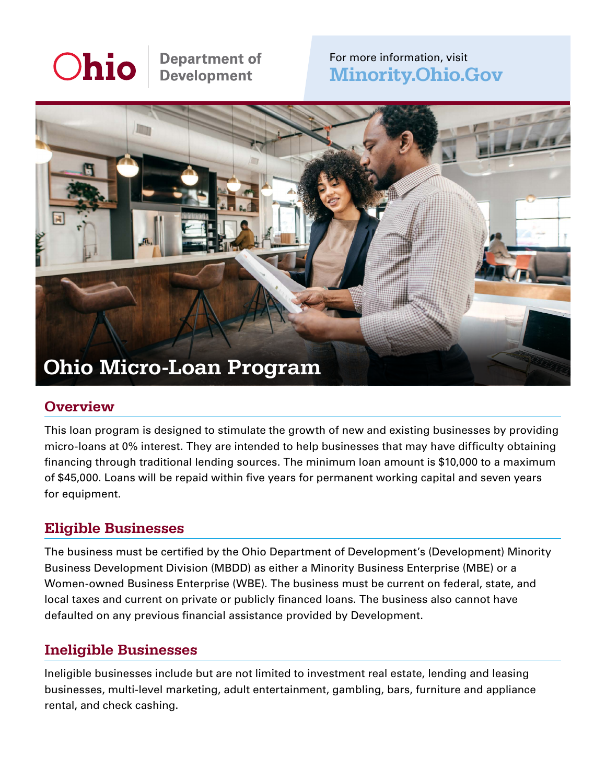# Ohio

**Department of<br>Development** 

### For more information, visit [Minority.Ohio.Gov](http://Minority.Ohio.Gov)



#### **Overview**

This loan program is designed to stimulate the growth of new and existing businesses by providing micro-loans at 0% interest. They are intended to help businesses that may have difficulty obtaining financing through traditional lending sources. The minimum loan amount is \$10,000 to a maximum of \$45,000. Loans will be repaid within five years for permanent working capital and seven years for equipment.

### Eligible Businesses

The business must be certified by the Ohio Department of Development's (Development) Minority Business Development Division (MBDD) as either a Minority Business Enterprise (MBE) or a Women-owned Business Enterprise (WBE). The business must be current on federal, state, and local taxes and current on private or publicly financed loans. The business also cannot have defaulted on any previous financial assistance provided by Development.

#### Ineligible Businesses

Ineligible businesses include but are not limited to investment real estate, lending and leasing businesses, multi-level marketing, adult entertainment, gambling, bars, furniture and appliance rental, and check cashing.